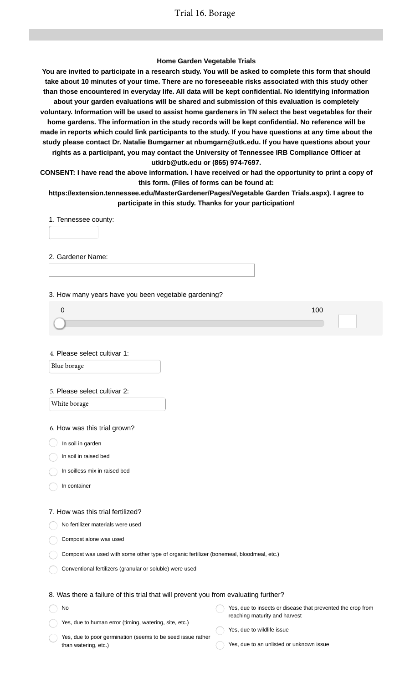## **Home Garden Vegetable Trials**

**You are invited to participate in a research study. You will be asked to complete this form that should take about 10 minutes of your time. There are no foreseeable risks associated with this study other than those encountered in everyday life. All data will be kept confidential. No identifying information about your garden evaluations will be shared and submission of this evaluation is completely voluntary. Information will be used to assist home gardeners in TN select the best vegetables for their home gardens. The information in the study records will be kept confidential. No reference will be made in reports which could link participants to the study. If you have questions at any time about the study please contact Dr. Natalie Bumgarner at nbumgarn@utk.edu. If you have questions about your rights as a participant, you may contact the University of Tennessee IRB Compliance Officer at utkirb@utk.edu or (865) 974-7697.**

**CONSENT: I have read the above information. I have received or had the opportunity to print a copy of this form. (Files of forms can be found at:**

**https://extension.tennessee.edu/MasterGardener/Pages/Vegetable Garden Trials.aspx). I agree to participate in this study. Thanks for your participation!**

1. Tennessee county:

2. Gardener Name:

3. How many years have you been vegetable gardening?

| 100 |
|-----|
|     |
|     |

4. Please select cultivar 1:

Blue borage

#### 5. Please select cultivar 2:

White borage

6. How was this trial grown?

- $\big)$  In soil in garden
- In soil in raised bed
- In soilless mix in raised bed
- In container

#### 7. How was this trial fertilized?

No fertilizer materials were used

- Compost alone was used
- Compost was used with some other type of organic fertilizer (bonemeal, bloodmeal, etc.)
- Conventional fertilizers (granular or soluble) were used

## 8. Was there a failure of this trial that will prevent you from evaluating further?

| <b>No</b>                                              | Yes, due to insects or disease that prevented the crop from |
|--------------------------------------------------------|-------------------------------------------------------------|
| Yes, due to human error (timing, watering, site, etc.) | reaching maturity and harvest                               |
|                                                        | Yes, due to wildlife issue                                  |

Yes, due to poor germination (seems to be seed issue rather than watering, etc.)

- 
- Yes, due to an unlisted or unknown issue